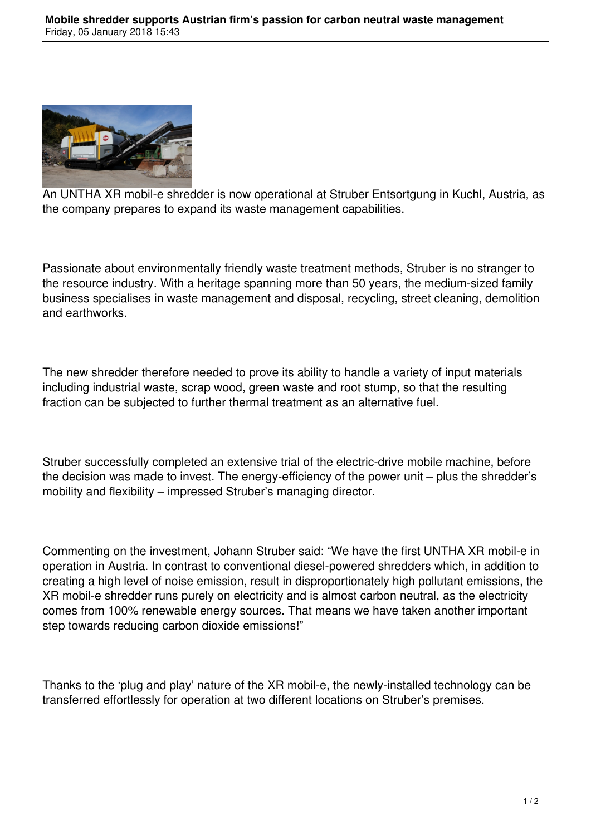

An UNTHA XR mobil-e shredder is now operational at Struber Entsortgung in Kuchl, Austria, as the company prepares to expand its waste management capabilities.

Passionate about environmentally friendly waste treatment methods, Struber is no stranger to the resource industry. With a heritage spanning more than 50 years, the medium-sized family business specialises in waste management and disposal, recycling, street cleaning, demolition and earthworks.

The new shredder therefore needed to prove its ability to handle a variety of input materials including industrial waste, scrap wood, green waste and root stump, so that the resulting fraction can be subjected to further thermal treatment as an alternative fuel.

Struber successfully completed an extensive trial of the electric-drive mobile machine, before the decision was made to invest. The energy-efficiency of the power unit – plus the shredder's mobility and flexibility – impressed Struber's managing director.

Commenting on the investment, Johann Struber said: "We have the first UNTHA XR mobil-e in operation in Austria. In contrast to conventional diesel-powered shredders which, in addition to creating a high level of noise emission, result in disproportionately high pollutant emissions, the XR mobil-e shredder runs purely on electricity and is almost carbon neutral, as the electricity comes from 100% renewable energy sources. That means we have taken another important step towards reducing carbon dioxide emissions!"

Thanks to the 'plug and play' nature of the XR mobil-e, the newly-installed technology can be transferred effortlessly for operation at two different locations on Struber's premises.